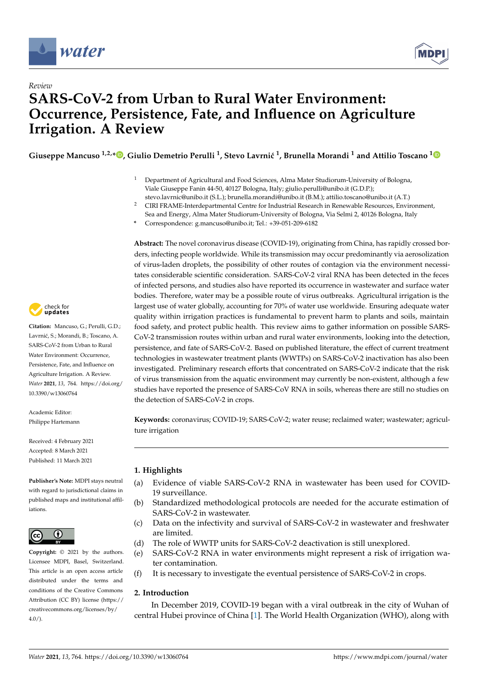

*Review*



# **SARS-CoV-2 from Urban to Rural Water Environment: Occurrence, Persistence, Fate, and Influence on Agriculture Irrigation. A Review**

 $\,$  $\,$ Giuseppe Mancuso  $^{1,2,*}$  $^{1,2,*}$  $^{1,2,*}$   $\,$   $\,$   $\,$  Giulio Demetrio Perulli  $^1$ , Stevo Lavrnić  $^1$ , Brunella Morandi  $^1$  and Attilio Toscano  $^1$ 

- <sup>1</sup> Department of Agricultural and Food Sciences, Alma Mater Studiorum-University of Bologna, Viale Giuseppe Fanin 44-50, 40127 Bologna, Italy; giulio.perulli@unibo.it (G.D.P.);
- stevo.lavrnic@unibo.it (S.L.); brunella.morandi@unibo.it (B.M.); attilio.toscano@unibo.it (A.T.)
- <sup>2</sup> CIRI FRAME-Interdepartmental Centre for Industrial Research in Renewable Resources, Environment, Sea and Energy, Alma Mater Studiorum-University of Bologna, Via Selmi 2, 40126 Bologna, Italy
- **\*** Correspondence: g.mancuso@unibo.it; Tel.: +39-051-209-6182

**Abstract:** The novel coronavirus disease (COVID-19), originating from China, has rapidly crossed borders, infecting people worldwide. While its transmission may occur predominantly via aerosolization of virus-laden droplets, the possibility of other routes of contagion via the environment necessitates considerable scientific consideration. SARS-CoV-2 viral RNA has been detected in the feces of infected persons, and studies also have reported its occurrence in wastewater and surface water bodies. Therefore, water may be a possible route of virus outbreaks. Agricultural irrigation is the largest use of water globally, accounting for 70% of water use worldwide. Ensuring adequate water quality within irrigation practices is fundamental to prevent harm to plants and soils, maintain food safety, and protect public health. This review aims to gather information on possible SARS-CoV-2 transmission routes within urban and rural water environments, looking into the detection, persistence, and fate of SARS-CoV-2. Based on published literature, the effect of current treatment technologies in wastewater treatment plants (WWTPs) on SARS-CoV-2 inactivation has also been investigated. Preliminary research efforts that concentrated on SARS-CoV-2 indicate that the risk of virus transmission from the aquatic environment may currently be non-existent, although a few studies have reported the presence of SARS-CoV RNA in soils, whereas there are still no studies on the detection of SARS-CoV-2 in crops.

**Keywords:** coronavirus; COVID-19; SARS-CoV-2; water reuse; reclaimed water; wastewater; agriculture irrigation

# **1. Highlights**

- (a) Evidence of viable SARS-CoV-2 RNA in wastewater has been used for COVID-19 surveillance.
- (b) Standardized methodological protocols are needed for the accurate estimation of SARS-CoV-2 in wastewater.
- (c) Data on the infectivity and survival of SARS-CoV-2 in wastewater and freshwater are limited.
- (d) The role of WWTP units for SARS-CoV-2 deactivation is still unexplored.
- (e) SARS-CoV-2 RNA in water environments might represent a risk of irrigation water contamination.
- (f) It is necessary to investigate the eventual persistence of SARS-CoV-2 in crops.

# **2. Introduction**

In December 2019, COVID-19 began with a viral outbreak in the city of Wuhan of central Hubei province of China [\[1\]](#page-11-0). The World Health Organization (WHO), along with



**Citation:** Mancuso, G.; Perulli, G.D.; Lavrnić, S.; Morandi, B.; Toscano, A. SARS-CoV-2 from Urban to Rural Water Environment: Occurrence, Persistence, Fate, and Influence on Agriculture Irrigation. A Review. *Water* **2021**, *13*, 764. [https://doi.org/](https://doi.org/10.3390/w13060764) [10.3390/w13060764](https://doi.org/10.3390/w13060764)

Academic Editor: Philippe Hartemann

Received: 4 February 2021 Accepted: 8 March 2021 Published: 11 March 2021

**Publisher's Note:** MDPI stays neutral with regard to jurisdictional claims in published maps and institutional affiliations.



**Copyright:** © 2021 by the authors. Licensee MDPI, Basel, Switzerland. This article is an open access article distributed under the terms and conditions of the Creative Commons Attribution (CC BY) license (https:/[/](https://creativecommons.org/licenses/by/4.0/) [creativecommons.org/licenses/by/](https://creativecommons.org/licenses/by/4.0/)  $4.0/$ ).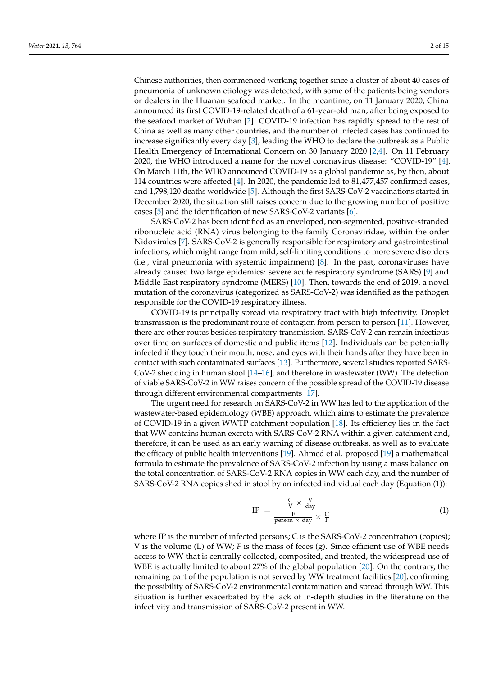Chinese authorities, then commenced working together since a cluster of about 40 cases of pneumonia of unknown etiology was detected, with some of the patients being vendors or dealers in the Huanan seafood market. In the meantime, on 11 January 2020, China announced its first COVID-19-related death of a 61-year-old man, after being exposed to the seafood market of Wuhan [\[2\]](#page-11-1). COVID-19 infection has rapidly spread to the rest of China as well as many other countries, and the number of infected cases has continued to increase significantly every day [\[3\]](#page-11-2), leading the WHO to declare the outbreak as a Public Health Emergency of International Concern on 30 January 2020 [\[2,](#page-11-1)[4\]](#page-11-3). On 11 February 2020, the WHO introduced a name for the novel coronavirus disease: "COVID-19" [\[4\]](#page-11-3). On March 11th, the WHO announced COVID-19 as a global pandemic as, by then, about 114 countries were affected [\[4\]](#page-11-3). In 2020, the pandemic led to 81,477,457 confirmed cases, and 1,798,120 deaths worldwide [\[5\]](#page-11-4). Although the first SARS-CoV-2 vaccinations started in December 2020, the situation still raises concern due to the growing number of positive cases [\[5\]](#page-11-4) and the identification of new SARS-CoV-2 variants [\[6\]](#page-11-5).

SARS-CoV-2 has been identified as an enveloped, non-segmented, positive-stranded ribonucleic acid (RNA) virus belonging to the family Coronaviridae, within the order Nidovirales [\[7\]](#page-11-6). SARS-CoV-2 is generally responsible for respiratory and gastrointestinal infections, which might range from mild, self-limiting conditions to more severe disorders (i.e., viral pneumonia with systemic impairment) [\[8\]](#page-11-7). In the past, coronaviruses have already caused two large epidemics: severe acute respiratory syndrome (SARS) [\[9\]](#page-11-8) and Middle East respiratory syndrome (MERS) [\[10\]](#page-11-9). Then, towards the end of 2019, a novel mutation of the coronavirus (categorized as SARS-CoV-2) was identified as the pathogen responsible for the COVID-19 respiratory illness.

COVID-19 is principally spread via respiratory tract with high infectivity. Droplet transmission is the predominant route of contagion from person to person [\[11\]](#page-11-10). However, there are other routes besides respiratory transmission. SARS-CoV-2 can remain infectious over time on surfaces of domestic and public items [\[12\]](#page-11-11). Individuals can be potentially infected if they touch their mouth, nose, and eyes with their hands after they have been in contact with such contaminated surfaces [\[13\]](#page-11-12). Furthermore, several studies reported SARS-CoV-2 shedding in human stool [\[14](#page-11-13)[–16\]](#page-11-14), and therefore in wastewater (WW). The detection of viable SARS-CoV-2 in WW raises concern of the possible spread of the COVID-19 disease through different environmental compartments [\[17\]](#page-11-15).

The urgent need for research on SARS-CoV-2 in WW has led to the application of the wastewater-based epidemiology (WBE) approach, which aims to estimate the prevalence of COVID-19 in a given WWTP catchment population [\[18\]](#page-11-16). Its efficiency lies in the fact that WW contains human excreta with SARS-CoV-2 RNA within a given catchment and, therefore, it can be used as an early warning of disease outbreaks, as well as to evaluate the efficacy of public health interventions [\[19\]](#page-11-17). Ahmed et al. proposed [\[19\]](#page-11-17) a mathematical formula to estimate the prevalence of SARS-CoV-2 infection by using a mass balance on the total concentration of SARS-CoV-2 RNA copies in WW each day, and the number of SARS-CoV-2 RNA copies shed in stool by an infected individual each day (Equation (1)):

$$
IP = \frac{\frac{C}{V} \times \frac{V}{day}}{\frac{F}{person \times day} \times \frac{C}{F}}
$$
 (1)

where IP is the number of infected persons; C is the SARS-CoV-2 concentration (copies); V is the volume (L) of WW; *F* is the mass of feces (g). Since efficient use of WBE needs access to WW that is centrally collected, composited, and treated, the widespread use of WBE is actually limited to about 27% of the global population [\[20\]](#page-11-18). On the contrary, the remaining part of the population is not served by WW treatment facilities [\[20\]](#page-11-18), confirming the possibility of SARS-CoV-2 environmental contamination and spread through WW. This situation is further exacerbated by the lack of in-depth studies in the literature on the infectivity and transmission of SARS-CoV-2 present in WW.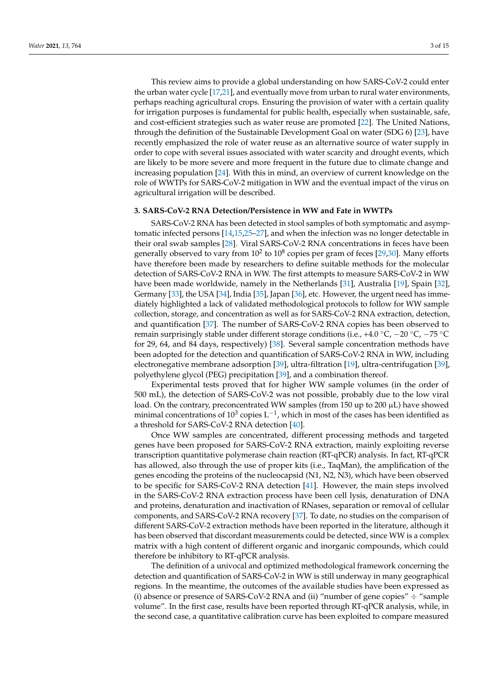This review aims to provide a global understanding on how SARS-CoV-2 could enter the urban water cycle [\[17](#page-11-15)[,21\]](#page-11-19), and eventually move from urban to rural water environments, perhaps reaching agricultural crops. Ensuring the provision of water with a certain quality for irrigation purposes is fundamental for public health, especially when sustainable, safe, and cost-efficient strategies such as water reuse are promoted [\[22\]](#page-11-20). The United Nations, through the definition of the Sustainable Development Goal on water (SDG 6) [\[23\]](#page-11-21), have recently emphasized the role of water reuse as an alternative source of water supply in order to cope with several issues associated with water scarcity and drought events, which are likely to be more severe and more frequent in the future due to climate change and increasing population [\[24\]](#page-11-22). With this in mind, an overview of current knowledge on the role of WWTPs for SARS-CoV-2 mitigation in WW and the eventual impact of the virus on agricultural irrigation will be described.

#### **3. SARS-CoV-2 RNA Detection/Persistence in WW and Fate in WWTPs**

SARS-CoV-2 RNA has been detected in stool samples of both symptomatic and asymptomatic infected persons [\[14](#page-11-13)[,15](#page-11-23)[,25](#page-11-24)[–27\]](#page-11-25), and when the infection was no longer detectable in their oral swab samples [\[28\]](#page-12-0). Viral SARS-CoV-2 RNA concentrations in feces have been generally observed to vary from  $10^2$  to  $10^8$  copies per gram of feces [\[29](#page-12-1)[,30\]](#page-12-2). Many efforts have therefore been made by researchers to define suitable methods for the molecular detection of SARS-CoV-2 RNA in WW. The first attempts to measure SARS-CoV-2 in WW have been made worldwide, namely in the Netherlands [\[31\]](#page-12-3), Australia [\[19\]](#page-11-17), Spain [\[32\]](#page-12-4), Germany [\[33\]](#page-12-5), the USA [\[34\]](#page-12-6), India [\[35\]](#page-12-7), Japan [\[36\]](#page-12-8), etc. However, the urgent need has immediately highlighted a lack of validated methodological protocols to follow for WW sample collection, storage, and concentration as well as for SARS-CoV-2 RNA extraction, detection, and quantification [\[37\]](#page-12-9). The number of SARS-CoV-2 RNA copies has been observed to remain surprisingly stable under different storage conditions (i.e., +4.0 °C,  $-20$  °C,  $-75$  °C for 29, 64, and 84 days, respectively) [\[38\]](#page-12-10). Several sample concentration methods have been adopted for the detection and quantification of SARS-CoV-2 RNA in WW, including electronegative membrane adsorption [\[39\]](#page-12-11), ultra-filtration [\[19\]](#page-11-17), ultra-centrifugation [\[39\]](#page-12-11), polyethylene glycol (PEG) precipitation [\[39\]](#page-12-11), and a combination thereof.

Experimental tests proved that for higher WW sample volumes (in the order of 500 mL), the detection of SARS-CoV-2 was not possible, probably due to the low viral load. On the contrary, preconcentrated WW samples (from 150 up to 200  $\mu$ L) have showed minimal concentrations of 10<sup>3</sup> copies L<sup>-1</sup>, which in most of the cases has been identified as a threshold for SARS-CoV-2 RNA detection [\[40\]](#page-12-12).

Once WW samples are concentrated, different processing methods and targeted genes have been proposed for SARS-CoV-2 RNA extraction, mainly exploiting reverse transcription quantitative polymerase chain reaction (RT-qPCR) analysis. In fact, RT-qPCR has allowed, also through the use of proper kits (i.e., TaqMan), the amplification of the genes encoding the proteins of the nucleocapsid (N1, N2, N3), which have been observed to be specific for SARS-CoV-2 RNA detection [\[41\]](#page-12-13). However, the main steps involved in the SARS-CoV-2 RNA extraction process have been cell lysis, denaturation of DNA and proteins, denaturation and inactivation of RNases, separation or removal of cellular components, and SARS-CoV-2 RNA recovery [\[37\]](#page-12-9). To date, no studies on the comparison of different SARS-CoV-2 extraction methods have been reported in the literature, although it has been observed that discordant measurements could be detected, since WW is a complex matrix with a high content of different organic and inorganic compounds, which could therefore be inhibitory to RT-qPCR analysis.

The definition of a univocal and optimized methodological framework concerning the detection and quantification of SARS-CoV-2 in WW is still underway in many geographical regions. In the meantime, the outcomes of the available studies have been expressed as (i) absence or presence of SARS-CoV-2 RNA and (ii) "number of gene copies"  $\div$  "sample volume". In the first case, results have been reported through RT-qPCR analysis, while, in the second case, a quantitative calibration curve has been exploited to compare measured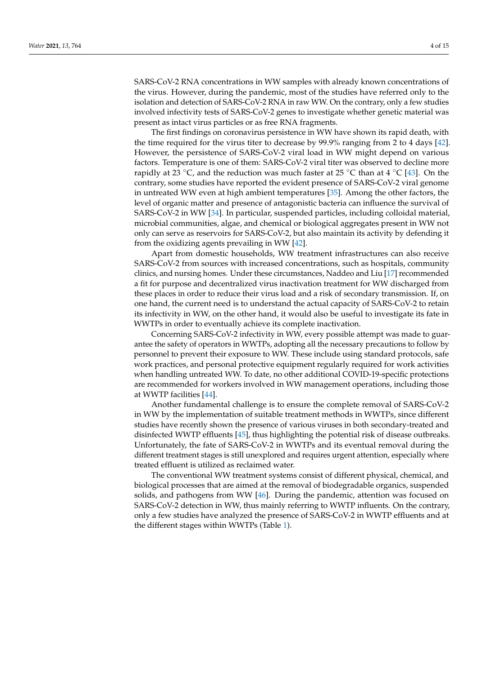SARS-CoV-2 RNA concentrations in WW samples with already known concentrations of the virus. However, during the pandemic, most of the studies have referred only to the isolation and detection of SARS-CoV-2 RNA in raw WW. On the contrary, only a few studies involved infectivity tests of SARS-CoV-2 genes to investigate whether genetic material was present as intact virus particles or as free RNA fragments.

The first findings on coronavirus persistence in WW have shown its rapid death, with the time required for the virus titer to decrease by 99.9% ranging from 2 to 4 days [\[42\]](#page-12-14). However, the persistence of SARS-CoV-2 viral load in WW might depend on various factors. Temperature is one of them: SARS-CoV-2 viral titer was observed to decline more rapidly at 23 °C, and the reduction was much faster at 25 °C than at 4 °C [\[43\]](#page-12-15). On the contrary, some studies have reported the evident presence of SARS-CoV-2 viral genome in untreated WW even at high ambient temperatures [\[35\]](#page-12-7). Among the other factors, the level of organic matter and presence of antagonistic bacteria can influence the survival of SARS-CoV-2 in WW [\[34\]](#page-12-6). In particular, suspended particles, including colloidal material, microbial communities, algae, and chemical or biological aggregates present in WW not only can serve as reservoirs for SARS-CoV-2, but also maintain its activity by defending it from the oxidizing agents prevailing in WW [\[42\]](#page-12-14).

Apart from domestic households, WW treatment infrastructures can also receive SARS-CoV-2 from sources with increased concentrations, such as hospitals, community clinics, and nursing homes. Under these circumstances, Naddeo and Liu [\[17\]](#page-11-15) recommended a fit for purpose and decentralized virus inactivation treatment for WW discharged from these places in order to reduce their virus load and a risk of secondary transmission. If, on one hand, the current need is to understand the actual capacity of SARS-CoV-2 to retain its infectivity in WW, on the other hand, it would also be useful to investigate its fate in WWTPs in order to eventually achieve its complete inactivation.

Concerning SARS-CoV-2 infectivity in WW, every possible attempt was made to guarantee the safety of operators in WWTPs, adopting all the necessary precautions to follow by personnel to prevent their exposure to WW. These include using standard protocols, safe work practices, and personal protective equipment regularly required for work activities when handling untreated WW. To date, no other additional COVID-19-specific protections are recommended for workers involved in WW management operations, including those at WWTP facilities [\[44\]](#page-12-16).

Another fundamental challenge is to ensure the complete removal of SARS-CoV-2 in WW by the implementation of suitable treatment methods in WWTPs, since different studies have recently shown the presence of various viruses in both secondary-treated and disinfected WWTP effluents [\[45\]](#page-12-17), thus highlighting the potential risk of disease outbreaks. Unfortunately, the fate of SARS-CoV-2 in WWTPs and its eventual removal during the different treatment stages is still unexplored and requires urgent attention, especially where treated effluent is utilized as reclaimed water.

The conventional WW treatment systems consist of different physical, chemical, and biological processes that are aimed at the removal of biodegradable organics, suspended solids, and pathogens from WW [\[46\]](#page-12-18). During the pandemic, attention was focused on SARS-CoV-2 detection in WW, thus mainly referring to WWTP influents. On the contrary, only a few studies have analyzed the presence of SARS-CoV-2 in WWTP effluents and at the different stages within WWTPs (Table [1\)](#page-4-0).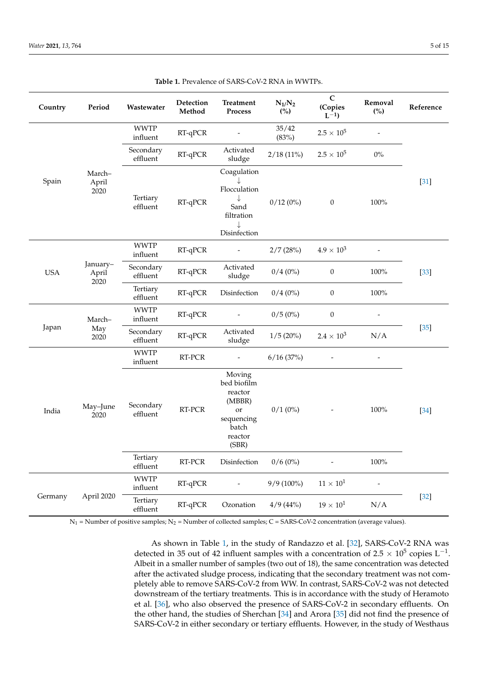<span id="page-4-0"></span>

| Country    | Period                    | Wastewater              | Detection<br>Method | <b>Treatment</b><br>Process                                                                 | $N_{1}/N_{2}$<br>(%) | $\mathbf C$<br>(Copies<br>$L^{-1}$ | Removal<br>(%)           | Reference |
|------------|---------------------------|-------------------------|---------------------|---------------------------------------------------------------------------------------------|----------------------|------------------------------------|--------------------------|-----------|
| Spain      | March-<br>April<br>2020   | <b>WWTP</b><br>influent | RT-qPCR             |                                                                                             | 35/42<br>(83%)       | $2.5 \times 10^{5}$                | $\overline{\phantom{a}}$ | $[31]$    |
|            |                           | Secondary<br>effluent   | RT-qPCR             | Activated<br>sludge                                                                         | $2/18(11\%)$         | $2.5 \times 10^{5}$                | $0\%$                    |           |
|            |                           | Tertiary<br>effluent    | RT-qPCR             | Coagulation<br>Flocculation<br>↓<br>Sand<br>filtration<br>$\downarrow$<br>Disinfection      | $0/12(0\%)$          | $\boldsymbol{0}$                   | $100\%$                  |           |
| <b>USA</b> | January-<br>April<br>2020 | <b>WWTP</b><br>influent | RT-qPCR             |                                                                                             | 2/7(28%)             | $4.9 \times 10^{3}$                |                          | $[33]$    |
|            |                           | Secondary<br>effluent   | RT-qPCR             | Activated<br>sludge                                                                         | $0/4(0\%)$           | $\boldsymbol{0}$                   | 100%                     |           |
|            |                           | Tertiary<br>effluent    | RT-qPCR             | Disinfection                                                                                | $0/4(0\%)$           | 0                                  | $100\%$                  |           |
| Japan      | March-<br>May<br>2020     | <b>WWTP</b><br>influent | RT-qPCR             |                                                                                             | $0/5(0\%)$           | $\boldsymbol{0}$                   |                          | $[35]$    |
|            |                           | Secondary<br>effluent   | RT-qPCR             | Activated<br>sludge                                                                         | 1/5(20%)             | $2.4 \times 10^{3}$                | N/A                      |           |
| India      | May-June<br>2020          | <b>WWTP</b><br>influent | RT-PCR              |                                                                                             | 6/16(37%)            |                                    |                          | $[34]$    |
|            |                           | Secondary<br>effluent   | RT-PCR              | Moving<br>bed biofilm<br>reactor<br>(MBBR)<br>or<br>sequencing<br>batch<br>reactor<br>(SBR) | $0/1(0\%)$           | $\overline{\phantom{a}}$           | 100%                     |           |
|            |                           | Tertiary<br>effluent    | $RT$ - $PCR$        | Disinfection                                                                                | $0/6(0\%)$           |                                    | $100\%$                  |           |
| Germany    | April 2020                | <b>WWTP</b><br>influent | RT-qPCR             |                                                                                             | $9/9(100\%)$         | $11\times10^1$                     |                          | $[32]$    |
|            |                           | Tertiary<br>effluent    | RT-qPCR             | Ozonation                                                                                   | 4/9(44%)             | $19 \times 10^1$                   | N/A                      |           |

**Table 1.** Prevalence of SARS-CoV-2 RNA in WWTPs.

 $N_1$  = Number of positive samples;  $N_2$  = Number of collected samples; C = SARS-CoV-2 concentration (average values).

As shown in Table [1,](#page-4-0) in the study of Randazzo et al. [\[32\]](#page-12-4), SARS-CoV-2 RNA was detected in 35 out of 42 influent samples with a concentration of 2.5  $\times$  10<sup>5</sup> copies L<sup>-1</sup>. Albeit in a smaller number of samples (two out of 18), the same concentration was detected after the activated sludge process, indicating that the secondary treatment was not completely able to remove SARS-CoV-2 from WW. In contrast, SARS-CoV-2 was not detected downstream of the tertiary treatments. This is in accordance with the study of Heramoto et al. [\[36\]](#page-12-8), who also observed the presence of SARS-CoV-2 in secondary effluents. On the other hand, the studies of Sherchan [\[34\]](#page-12-6) and Arora [\[35\]](#page-12-7) did not find the presence of SARS-CoV-2 in either secondary or tertiary effluents. However, in the study of Westhaus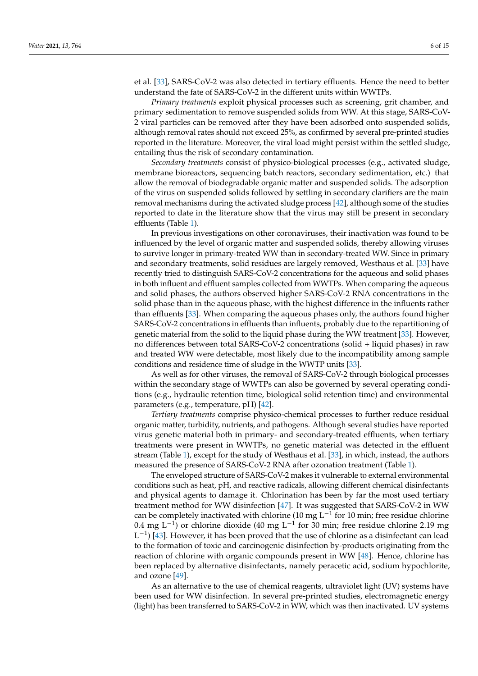et al. [\[33\]](#page-12-5), SARS-CoV-2 was also detected in tertiary effluents. Hence the need to better understand the fate of SARS-CoV-2 in the different units within WWTPs.

*Primary treatments* exploit physical processes such as screening, grit chamber, and primary sedimentation to remove suspended solids from WW. At this stage, SARS-CoV-2 viral particles can be removed after they have been adsorbed onto suspended solids, although removal rates should not exceed 25%, as confirmed by several pre-printed studies reported in the literature. Moreover, the viral load might persist within the settled sludge, entailing thus the risk of secondary contamination.

*Secondary treatments* consist of physico-biological processes (e.g., activated sludge, membrane bioreactors, sequencing batch reactors, secondary sedimentation, etc.) that allow the removal of biodegradable organic matter and suspended solids. The adsorption of the virus on suspended solids followed by settling in secondary clarifiers are the main removal mechanisms during the activated sludge process [\[42\]](#page-12-14), although some of the studies reported to date in the literature show that the virus may still be present in secondary effluents (Table [1\)](#page-4-0).

In previous investigations on other coronaviruses, their inactivation was found to be influenced by the level of organic matter and suspended solids, thereby allowing viruses to survive longer in primary-treated WW than in secondary-treated WW. Since in primary and secondary treatments, solid residues are largely removed, Westhaus et al. [\[33\]](#page-12-5) have recently tried to distinguish SARS-CoV-2 concentrations for the aqueous and solid phases in both influent and effluent samples collected from WWTPs. When comparing the aqueous and solid phases, the authors observed higher SARS-CoV-2 RNA concentrations in the solid phase than in the aqueous phase, with the highest difference in the influents rather than effluents [\[33\]](#page-12-5). When comparing the aqueous phases only, the authors found higher SARS-CoV-2 concentrations in effluents than influents, probably due to the repartitioning of genetic material from the solid to the liquid phase during the WW treatment [\[33\]](#page-12-5). However, no differences between total SARS-CoV-2 concentrations (solid + liquid phases) in raw and treated WW were detectable, most likely due to the incompatibility among sample conditions and residence time of sludge in the WWTP units [\[33\]](#page-12-5).

As well as for other viruses, the removal of SARS-CoV-2 through biological processes within the secondary stage of WWTPs can also be governed by several operating conditions (e.g., hydraulic retention time, biological solid retention time) and environmental parameters (e.g., temperature, pH) [\[42\]](#page-12-14).

*Tertiary treatments* comprise physico-chemical processes to further reduce residual organic matter, turbidity, nutrients, and pathogens. Although several studies have reported virus genetic material both in primary- and secondary-treated effluents, when tertiary treatments were present in WWTPs, no genetic material was detected in the effluent stream (Table [1\)](#page-4-0), except for the study of Westhaus et al. [\[33\]](#page-12-5), in which, instead, the authors measured the presence of SARS-CoV-2 RNA after ozonation treatment (Table [1\)](#page-4-0).

The enveloped structure of SARS-CoV-2 makes it vulnerable to external environmental conditions such as heat, pH, and reactive radicals, allowing different chemical disinfectants and physical agents to damage it. Chlorination has been by far the most used tertiary treatment method for WW disinfection [\[47\]](#page-12-19). It was suggested that SARS-CoV-2 in WW can be completely inactivated with chlorine (10 mg  $\mathrm{L}^{-1}$  for 10 min; free residue chlorine 0.4 mg L<sup>-1</sup>) or chlorine dioxide (40 mg L<sup>-1</sup> for 30 min; free residue chlorine 2.19 mg  $L^{-1}$ ) [\[43\]](#page-12-15). However, it has been proved that the use of chlorine as a disinfectant can lead to the formation of toxic and carcinogenic disinfection by-products originating from the reaction of chlorine with organic compounds present in WW [\[48\]](#page-12-20). Hence, chlorine has been replaced by alternative disinfectants, namely peracetic acid, sodium hypochlorite, and ozone [\[49\]](#page-12-21).

As an alternative to the use of chemical reagents, ultraviolet light (UV) systems have been used for WW disinfection. In several pre-printed studies, electromagnetic energy (light) has been transferred to SARS-CoV-2 in WW, which was then inactivated. UV systems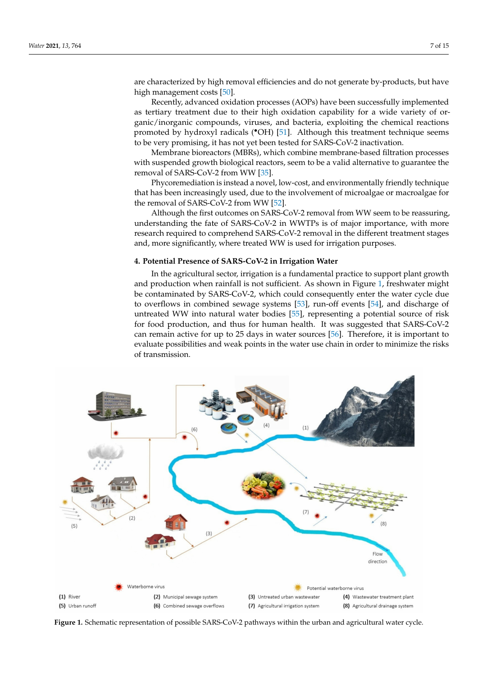are characterized by high removal efficiencies and do not generate by-products, but have high management costs [\[50\]](#page-12-22).

Recently, advanced oxidation processes (AOPs) have been successfully implemented as tertiary treatment due to their high oxidation capability for a wide variety of organic/inorganic compounds, viruses, and bacteria, exploiting the chemical reactions promoted by hydroxyl radicals (•OH) [\[51\]](#page-12-23). Although this treatment technique seems to be very promising, it has not yet been tested for SARS-CoV-2 inactivation.

Membrane bioreactors (MBRs), which combine membrane-based filtration processes with suspended growth biological reactors, seem to be a valid alternative to guarantee the removal of SARS-CoV-2 from WW [\[35\]](#page-12-7).

Phycoremediation is instead a novel, low-cost, and environmentally friendly technique that has been increasingly used, due to the involvement of microalgae or macroalgae for the removal of SARS-CoV-2 from WW [\[52\]](#page-12-24).

Although the first outcomes on SARS-CoV-2 removal from WW seem to be reassuring, understanding the fate of SARS-CoV-2 in WWTPs is of major importance, with more research required to comprehend SARS-CoV-2 removal in the different treatment stages and, more significantly, where treated WW is used for irrigation purposes.

## **4. Potential Presence of SARS-CoV-2 in Irrigation Water**

In the agricultural sector, irrigation is a fundamental practice to support plant growth and production when rainfall is not sufficient. As shown in Figure [1,](#page-6-0) freshwater might be contaminated by SARS-CoV-2, which could consequently enter the water cycle due to overflows in combined sewage systems [\[53\]](#page-12-25), run-off events [\[54\]](#page-13-0), and discharge of untreated WW into natural water bodies [\[55\]](#page-13-1), representing a potential source of risk for food production, and thus for human health. It was suggested that SARS-CoV-2 can remain active for up to 25 days in water sources [\[56\]](#page-13-2). Therefore, it is important to evaluate possibilities and weak points in the water use chain in order to minimize the risks of transmission.

<span id="page-6-0"></span>

**Figure 1.** Schematic representation of possible SARS-CoV-2 pathways within the urban and agricultural water cycle.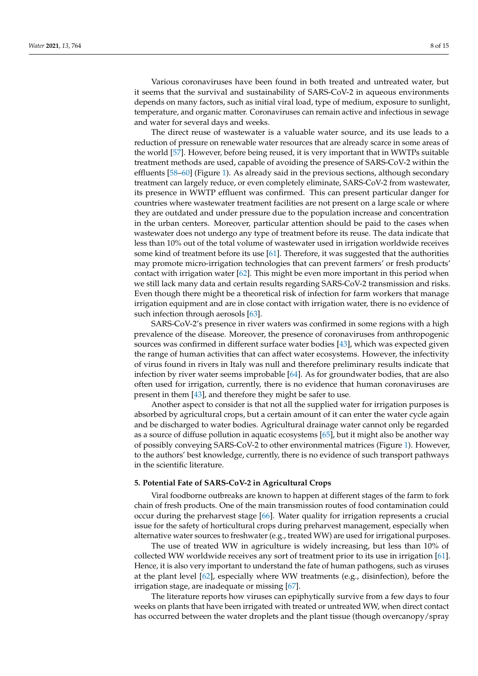Various coronaviruses have been found in both treated and untreated water, but it seems that the survival and sustainability of SARS-CoV-2 in aqueous environments depends on many factors, such as initial viral load, type of medium, exposure to sunlight, temperature, and organic matter. Coronaviruses can remain active and infectious in sewage and water for several days and weeks.

The direct reuse of wastewater is a valuable water source, and its use leads to a reduction of pressure on renewable water resources that are already scarce in some areas of the world [\[57\]](#page-13-3). However, before being reused, it is very important that in WWTPs suitable treatment methods are used, capable of avoiding the presence of SARS-CoV-2 within the effluents [\[58](#page-13-4)[–60\]](#page-13-5) (Figure [1\)](#page-6-0). As already said in the previous sections, although secondary treatment can largely reduce, or even completely eliminate, SARS-CoV-2 from wastewater, its presence in WWTP effluent was confirmed. This can present particular danger for countries where wastewater treatment facilities are not present on a large scale or where they are outdated and under pressure due to the population increase and concentration in the urban centers. Moreover, particular attention should be paid to the cases when wastewater does not undergo any type of treatment before its reuse. The data indicate that less than 10% out of the total volume of wastewater used in irrigation worldwide receives some kind of treatment before its use  $[61]$ . Therefore, it was suggested that the authorities may promote micro-irrigation technologies that can prevent farmers' or fresh products' contact with irrigation water [\[62\]](#page-13-7). This might be even more important in this period when we still lack many data and certain results regarding SARS-CoV-2 transmission and risks. Even though there might be a theoretical risk of infection for farm workers that manage irrigation equipment and are in close contact with irrigation water, there is no evidence of such infection through aerosols [\[63\]](#page-13-8).

SARS-CoV-2's presence in river waters was confirmed in some regions with a high prevalence of the disease. Moreover, the presence of coronaviruses from anthropogenic sources was confirmed in different surface water bodies [\[43\]](#page-12-15), which was expected given the range of human activities that can affect water ecosystems. However, the infectivity of virus found in rivers in Italy was null and therefore preliminary results indicate that infection by river water seems improbable [\[64\]](#page-13-9). As for groundwater bodies, that are also often used for irrigation, currently, there is no evidence that human coronaviruses are present in them [\[43\]](#page-12-15), and therefore they might be safer to use.

Another aspect to consider is that not all the supplied water for irrigation purposes is absorbed by agricultural crops, but a certain amount of it can enter the water cycle again and be discharged to water bodies. Agricultural drainage water cannot only be regarded as a source of diffuse pollution in aquatic ecosystems [\[65\]](#page-13-10), but it might also be another way of possibly conveying SARS-CoV-2 to other environmental matrices (Figure [1\)](#page-6-0). However, to the authors' best knowledge, currently, there is no evidence of such transport pathways in the scientific literature.

#### **5. Potential Fate of SARS-CoV-2 in Agricultural Crops**

Viral foodborne outbreaks are known to happen at different stages of the farm to fork chain of fresh products. One of the main transmission routes of food contamination could occur during the preharvest stage [\[66\]](#page-13-11). Water quality for irrigation represents a crucial issue for the safety of horticultural crops during preharvest management, especially when alternative water sources to freshwater (e.g., treated WW) are used for irrigational purposes.

The use of treated WW in agriculture is widely increasing, but less than 10% of collected WW worldwide receives any sort of treatment prior to its use in irrigation [\[61\]](#page-13-6). Hence, it is also very important to understand the fate of human pathogens, such as viruses at the plant level [\[62\]](#page-13-7), especially where WW treatments (e.g., disinfection), before the irrigation stage, are inadequate or missing [\[67\]](#page-13-12).

The literature reports how viruses can epiphytically survive from a few days to four weeks on plants that have been irrigated with treated or untreated WW, when direct contact has occurred between the water droplets and the plant tissue (though overcanopy/spray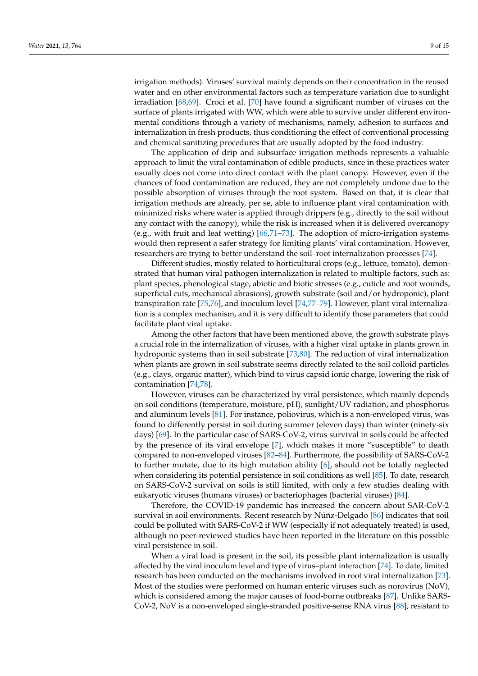irrigation methods). Viruses' survival mainly depends on their concentration in the reused water and on other environmental factors such as temperature variation due to sunlight irradiation [\[68,](#page-13-13)[69\]](#page-13-14). Croci et al. [\[70\]](#page-13-15) have found a significant number of viruses on the surface of plants irrigated with WW, which were able to survive under different environmental conditions through a variety of mechanisms, namely, adhesion to surfaces and internalization in fresh products, thus conditioning the effect of conventional processing and chemical sanitizing procedures that are usually adopted by the food industry.

The application of drip and subsurface irrigation methods represents a valuable approach to limit the viral contamination of edible products, since in these practices water usually does not come into direct contact with the plant canopy. However, even if the chances of food contamination are reduced, they are not completely undone due to the possible absorption of viruses through the root system. Based on that, it is clear that irrigation methods are already, per se, able to influence plant viral contamination with minimized risks where water is applied through drippers (e.g., directly to the soil without any contact with the canopy), while the risk is increased when it is delivered overcanopy (e.g., with fruit and leaf wetting) [\[66](#page-13-11)[,71–](#page-13-16)[73\]](#page-13-17). The adoption of micro-irrigation systems would then represent a safer strategy for limiting plants' viral contamination. However, researchers are trying to better understand the soil–root internalization processes [\[74\]](#page-13-18).

Different studies, mostly related to horticultural crops (e.g., lettuce, tomato), demonstrated that human viral pathogen internalization is related to multiple factors, such as: plant species, phenological stage, abiotic and biotic stresses (e.g., cuticle and root wounds, superficial cuts, mechanical abrasions), growth substrate (soil and/or hydroponic), plant transpiration rate [\[75,](#page-13-19)[76\]](#page-13-20), and inoculum level [\[74](#page-13-18)[,77](#page-13-21)[–79\]](#page-13-22). However, plant viral internalization is a complex mechanism, and it is very difficult to identify those parameters that could facilitate plant viral uptake.

Among the other factors that have been mentioned above, the growth substrate plays a crucial role in the internalization of viruses, with a higher viral uptake in plants grown in hydroponic systems than in soil substrate [\[73,](#page-13-17)[80\]](#page-13-23). The reduction of viral internalization when plants are grown in soil substrate seems directly related to the soil colloid particles (e.g., clays, organic matter), which bind to virus capsid ionic charge, lowering the risk of contamination [\[74](#page-13-18)[,78\]](#page-13-24).

However, viruses can be characterized by viral persistence, which mainly depends on soil conditions (temperature, moisture, pH), sunlight/UV radiation, and phosphorus and aluminum levels [\[81\]](#page-13-25). For instance, poliovirus, which is a non-enveloped virus, was found to differently persist in soil during summer (eleven days) than winter (ninety-six days) [\[69\]](#page-13-14). In the particular case of SARS-CoV-2, virus survival in soils could be affected by the presence of its viral envelope [\[7\]](#page-11-6), which makes it more "susceptible" to death compared to non-enveloped viruses [\[82](#page-14-0)[–84\]](#page-14-1). Furthermore, the possibility of SARS-CoV-2 to further mutate, due to its high mutation ability [\[6\]](#page-11-5), should not be totally neglected when considering its potential persistence in soil conditions as well [\[85\]](#page-14-2). To date, research on SARS-CoV-2 survival on soils is still limited, with only a few studies dealing with eukaryotic viruses (humans viruses) or bacteriophages (bacterial viruses) [\[84\]](#page-14-1).

Therefore, the COVID-19 pandemic has increased the concern about SAR-CoV-2 survival in soil environments. Recent research by Núñz-Delgado [\[86\]](#page-14-3) indicates that soil could be polluted with SARS-CoV-2 if WW (especially if not adequately treated) is used, although no peer-reviewed studies have been reported in the literature on this possible viral persistence in soil.

When a viral load is present in the soil, its possible plant internalization is usually affected by the viral inoculum level and type of virus–plant interaction [\[74\]](#page-13-18). To date, limited research has been conducted on the mechanisms involved in root viral internalization [\[73\]](#page-13-17). Most of the studies were performed on human enteric viruses such as norovirus (NoV), which is considered among the major causes of food-borne outbreaks [\[87\]](#page-14-4). Unlike SARS-CoV-2, NoV is a non-enveloped single-stranded positive-sense RNA virus [\[88\]](#page-14-5), resistant to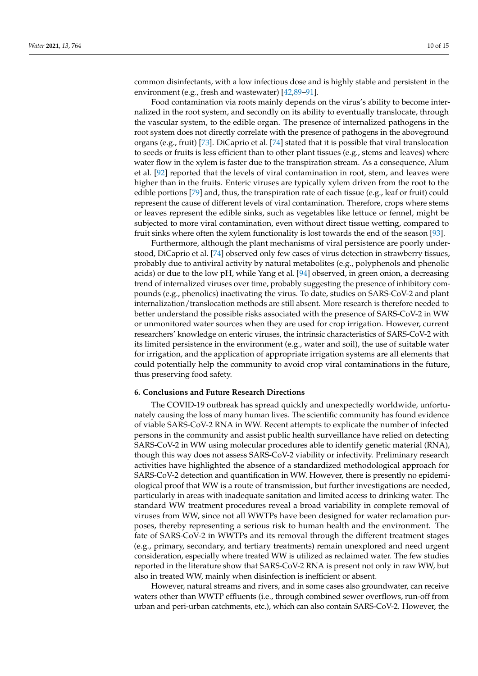common disinfectants, with a low infectious dose and is highly stable and persistent in the

environment (e.g., fresh and wastewater) [\[42,](#page-12-14)[89](#page-14-6)[–91\]](#page-14-7). Food contamination via roots mainly depends on the virus's ability to become internalized in the root system, and secondly on its ability to eventually translocate, through the vascular system, to the edible organ. The presence of internalized pathogens in the root system does not directly correlate with the presence of pathogens in the aboveground organs (e.g., fruit) [\[73\]](#page-13-17). DiCaprio et al. [\[74\]](#page-13-18) stated that it is possible that viral translocation to seeds or fruits is less efficient than to other plant tissues (e.g., stems and leaves) where water flow in the xylem is faster due to the transpiration stream. As a consequence, Alum et al. [\[92\]](#page-14-8) reported that the levels of viral contamination in root, stem, and leaves were higher than in the fruits. Enteric viruses are typically xylem driven from the root to the edible portions [\[79\]](#page-13-22) and, thus, the transpiration rate of each tissue (e.g., leaf or fruit) could represent the cause of different levels of viral contamination. Therefore, crops where stems or leaves represent the edible sinks, such as vegetables like lettuce or fennel, might be subjected to more viral contamination, even without direct tissue wetting, compared to fruit sinks where often the xylem functionality is lost towards the end of the season [\[93\]](#page-14-9).

Furthermore, although the plant mechanisms of viral persistence are poorly understood, DiCaprio et al. [\[74\]](#page-13-18) observed only few cases of virus detection in strawberry tissues, probably due to antiviral activity by natural metabolites (e.g., polyphenols and phenolic acids) or due to the low pH, while Yang et al. [\[94\]](#page-14-10) observed, in green onion, a decreasing trend of internalized viruses over time, probably suggesting the presence of inhibitory compounds (e.g., phenolics) inactivating the virus. To date, studies on SARS-CoV-2 and plant internalization/translocation methods are still absent. More research is therefore needed to better understand the possible risks associated with the presence of SARS-CoV-2 in WW or unmonitored water sources when they are used for crop irrigation. However, current researchers' knowledge on enteric viruses, the intrinsic characteristics of SARS-CoV-2 with its limited persistence in the environment (e.g., water and soil), the use of suitable water for irrigation, and the application of appropriate irrigation systems are all elements that could potentially help the community to avoid crop viral contaminations in the future, thus preserving food safety.

## **6. Conclusions and Future Research Directions**

The COVID-19 outbreak has spread quickly and unexpectedly worldwide, unfortunately causing the loss of many human lives. The scientific community has found evidence of viable SARS-CoV-2 RNA in WW. Recent attempts to explicate the number of infected persons in the community and assist public health surveillance have relied on detecting SARS-CoV-2 in WW using molecular procedures able to identify genetic material (RNA), though this way does not assess SARS-CoV-2 viability or infectivity. Preliminary research activities have highlighted the absence of a standardized methodological approach for SARS-CoV-2 detection and quantification in WW. However, there is presently no epidemiological proof that WW is a route of transmission, but further investigations are needed, particularly in areas with inadequate sanitation and limited access to drinking water. The standard WW treatment procedures reveal a broad variability in complete removal of viruses from WW, since not all WWTPs have been designed for water reclamation purposes, thereby representing a serious risk to human health and the environment. The fate of SARS-CoV-2 in WWTPs and its removal through the different treatment stages (e.g., primary, secondary, and tertiary treatments) remain unexplored and need urgent consideration, especially where treated WW is utilized as reclaimed water. The few studies reported in the literature show that SARS-CoV-2 RNA is present not only in raw WW, but also in treated WW, mainly when disinfection is inefficient or absent.

However, natural streams and rivers, and in some cases also groundwater, can receive waters other than WWTP effluents (i.e., through combined sewer overflows, run-off from urban and peri-urban catchments, etc.), which can also contain SARS-CoV-2. However, the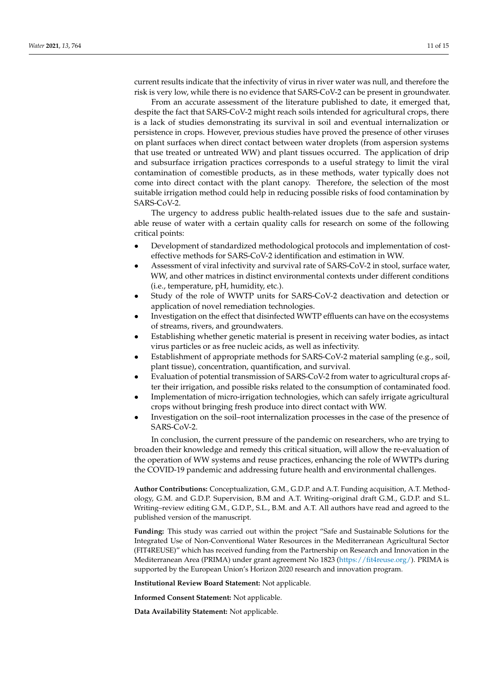current results indicate that the infectivity of virus in river water was null, and therefore the risk is very low, while there is no evidence that SARS-CoV-2 can be present in groundwater.

From an accurate assessment of the literature published to date, it emerged that, despite the fact that SARS-CoV-2 might reach soils intended for agricultural crops, there is a lack of studies demonstrating its survival in soil and eventual internalization or persistence in crops. However, previous studies have proved the presence of other viruses on plant surfaces when direct contact between water droplets (from aspersion systems that use treated or untreated WW) and plant tissues occurred. The application of drip and subsurface irrigation practices corresponds to a useful strategy to limit the viral contamination of comestible products, as in these methods, water typically does not come into direct contact with the plant canopy. Therefore, the selection of the most suitable irrigation method could help in reducing possible risks of food contamination by SARS-CoV-2.

The urgency to address public health-related issues due to the safe and sustainable reuse of water with a certain quality calls for research on some of the following critical points:

- Development of standardized methodological protocols and implementation of costeffective methods for SARS-CoV-2 identification and estimation in WW.
- Assessment of viral infectivity and survival rate of SARS-CoV-2 in stool, surface water, WW, and other matrices in distinct environmental contexts under different conditions (i.e., temperature, pH, humidity, etc.).
- Study of the role of WWTP units for SARS-CoV-2 deactivation and detection or application of novel remediation technologies.
- Investigation on the effect that disinfected WWTP effluents can have on the ecosystems of streams, rivers, and groundwaters.
- Establishing whether genetic material is present in receiving water bodies, as intact virus particles or as free nucleic acids, as well as infectivity.
- Establishment of appropriate methods for SARS-CoV-2 material sampling (e.g., soil, plant tissue), concentration, quantification, and survival.
- Evaluation of potential transmission of SARS-CoV-2 from water to agricultural crops after their irrigation, and possible risks related to the consumption of contaminated food.
- Implementation of micro-irrigation technologies, which can safely irrigate agricultural crops without bringing fresh produce into direct contact with WW.
- Investigation on the soil–root internalization processes in the case of the presence of SARS-CoV-2.

In conclusion, the current pressure of the pandemic on researchers, who are trying to broaden their knowledge and remedy this critical situation, will allow the re-evaluation of the operation of WW systems and reuse practices, enhancing the role of WWTPs during the COVID-19 pandemic and addressing future health and environmental challenges.

**Author Contributions:** Conceptualization, G.M., G.D.P. and A.T. Funding acquisition, A.T. Methodology, G.M. and G.D.P. Supervision, B.M and A.T. Writing–original draft G.M., G.D.P. and S.L. Writing–review editing G.M., G.D.P., S.L., B.M. and A.T. All authors have read and agreed to the published version of the manuscript.

**Funding:** This study was carried out within the project "Safe and Sustainable Solutions for the Integrated Use of Non-Conventional Water Resources in the Mediterranean Agricultural Sector (FIT4REUSE)" which has received funding from the Partnership on Research and Innovation in the Mediterranean Area (PRIMA) under grant agreement No 1823 [\(https://fit4reuse.org/\)](https://fit4reuse.org/). PRIMA is supported by the European Union's Horizon 2020 research and innovation program.

**Institutional Review Board Statement:** Not applicable.

**Informed Consent Statement:** Not applicable.

**Data Availability Statement:** Not applicable.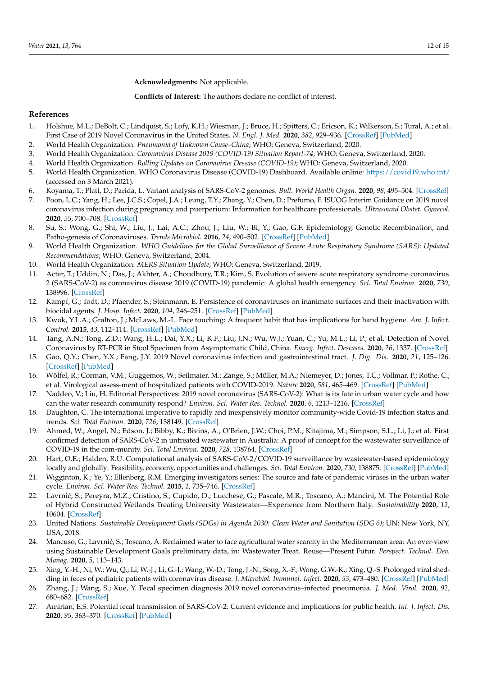**Acknowledgments:** Not applicable.

**Conflicts of Interest:** The authors declare no conflict of interest.

### **References**

- <span id="page-11-0"></span>1. Holshue, M.L.; DeBolt, C.; Lindquist, S.; Lofy, K.H.; Wiesman, J.; Bruce, H.; Spitters, C.; Ericson, K.; Wilkerson, S.; Tural, A.; et al. First Case of 2019 Novel Coronavirus in the United States. *N. Engl. J. Med.* **2020**, *382*, 929–936. [\[CrossRef\]](http://doi.org/10.1056/NEJMoa2001191) [\[PubMed\]](http://www.ncbi.nlm.nih.gov/pubmed/32004427)
- <span id="page-11-1"></span>2. World Health Organization. *Pneumonia of Unknown Cause–China*; WHO: Geneva, Switzerland, 2020.
- <span id="page-11-2"></span>3. World Health Organization. *Coronavirus Disease 2019 (COVID-19) Situation Report-74*; WHO: Geneva, Switzerland, 2020.
- <span id="page-11-3"></span>4. World Health Organization. *Rolling Updates on Coronavirus Desease (COVID-19)*; WHO: Geneva, Switzerland, 2020.
- <span id="page-11-4"></span>5. World Health Organization. WHO Coronavirus Disease (COVID-19) Dashboard. Available online: <https://covid19.who.int/> (accessed on 3 March 2021).
- <span id="page-11-5"></span>6. Koyama, T.; Platt, D.; Parida, L. Variant analysis of SARS-CoV-2 genomes. *Bull. World Health Organ.* **2020**, *98*, 495–504. [\[CrossRef\]](http://doi.org/10.2471/BLT.20.253591)
- <span id="page-11-6"></span>7. Poon, L.C.; Yang, H.; Lee, J.C.S.; Copel, J.A.; Leung, T.Y.; Zhang, Y.; Chen, D.; Prefumo, F. ISUOG Interim Guidance on 2019 novel coronavirus infection during pregnancy and puerperium: Information for healthcare professionals. *Ultrasound Obstet. Gynecol.* **2020**, *55*, 700–708. [\[CrossRef\]](http://doi.org/10.1002/uog.22013)
- <span id="page-11-7"></span>8. Su, S.; Wong, G.; Shi, W.; Liu, J.; Lai, A.C.; Zhou, J.; Liu, W.; Bi, Y.; Gao, G.F. Epidemiology, Genetic Recombination, and Patho-genesis of Coronaviruses. *Trends Microbiol.* **2016**, *24*, 490–502. [\[CrossRef\]](http://doi.org/10.1016/j.tim.2016.03.003) [\[PubMed\]](http://www.ncbi.nlm.nih.gov/pubmed/27012512)
- <span id="page-11-8"></span>9. World Health Organization. *WHO Guidelines for the Global Surveillance of Severe Acute Respiratory Syndrome (SARS): Updated Recommendations*; WHO: Geneva, Switzerland, 2004.
- <span id="page-11-9"></span>10. World Health Organization. *MERS Situation Update*; WHO: Geneva, Switzerland, 2019.
- <span id="page-11-10"></span>11. Acter, T.; Uddin, N.; Das, J.; Akhter, A.; Choudhury, T.R.; Kim, S. Evolution of severe acute respiratory syndrome coronavirus 2 (SARS-CoV-2) as coronavirus disease 2019 (COVID-19) pandemic: A global health emergency. *Sci. Total Environ.* **2020**, *730*, 138996. [\[CrossRef\]](http://doi.org/10.1016/j.scitotenv.2020.138996)
- <span id="page-11-11"></span>12. Kampf, G.; Todt, D.; Pfaender, S.; Steinmann, E. Persistence of coronaviruses on inanimate surfaces and their inactivation with biocidal agents. *J. Hosp. Infect.* **2020**, *104*, 246–251. [\[CrossRef\]](http://doi.org/10.1016/j.jhin.2020.01.022) [\[PubMed\]](http://www.ncbi.nlm.nih.gov/pubmed/32035997)
- <span id="page-11-12"></span>13. Kwok, Y.L.A.; Gralton, J.; McLaws, M.-L. Face touching: A frequent habit that has implications for hand hygiene. *Am. J. Infect. Control.* **2015**, *43*, 112–114. [\[CrossRef\]](http://doi.org/10.1016/j.ajic.2014.10.015) [\[PubMed\]](http://www.ncbi.nlm.nih.gov/pubmed/25637115)
- <span id="page-11-13"></span>14. Tang, A.N.; Tong, Z.D.; Wang, H.L.; Dai, Y.X.; Li, K.F.; Liu, J.N.; Wu, W.J.; Yuan, C.; Yu, M.L.; Li, P.; et al. Detection of Novel Coronavirus by RT-PCR in Stool Specimen from Asymptomatic Child, China. *Emerg. Infect. Deseases.* **2020**, *26*, 1337. [\[CrossRef\]](http://doi.org/10.3201/eid2606.200301)
- <span id="page-11-23"></span>15. Gao, Q.Y.; Chen, Y.X.; Fang, J.Y. 2019 Novel coronavirus infection and gastrointestinal tract. *J. Dig. Dis.* **2020**, *21*, 125–126. [\[CrossRef\]](http://doi.org/10.1111/1751-2980.12851) [\[PubMed\]](http://www.ncbi.nlm.nih.gov/pubmed/32096611)
- <span id="page-11-14"></span>16. Wölfel, R.; Corman, V.M.; Guggemos, W.; Seilmaier, M.; Zange, S.; Müller, M.A.; Niemeyer, D.; Jones, T.C.; Vollmar, P.; Rothe, C.; et al. Virological assess-ment of hospitalized patients with COVID-2019. *Nature* **2020**, *581*, 465–469. [\[CrossRef\]](http://doi.org/10.1038/s41586-020-2196-x) [\[PubMed\]](http://www.ncbi.nlm.nih.gov/pubmed/32235945)
- <span id="page-11-15"></span>17. Naddeo, V.; Liu, H. Editorial Perspectives: 2019 novel coronavirus (SARS-CoV-2): What is its fate in urban water cycle and how can the water research community respond? *Environ. Sci. Water Res. Technol.* **2020**, *6*, 1213–1216. [\[CrossRef\]](http://doi.org/10.1039/D0EW90015J)
- <span id="page-11-16"></span>18. Daughton, C. The international imperative to rapidly and inexpensively monitor community-wide Covid-19 infection status and trends. *Sci. Total Environ.* **2020**, *726*, 138149. [\[CrossRef\]](http://doi.org/10.1016/j.scitotenv.2020.138149)
- <span id="page-11-17"></span>19. Ahmed, W.; Angel, N.; Edson, J.; Bibby, K.; Bivins, A.; O'Brien, J.W.; Choi, P.M.; Kitajima, M.; Simpson, S.L.; Li, J.; et al. First confirmed detection of SARS-CoV-2 in untreated wastewater in Australia: A proof of concept for the wastewater surveillance of COVID-19 in the com-munity. *Sci. Total Environ.* **2020**, *728*, 138764. [\[CrossRef\]](http://doi.org/10.1016/j.scitotenv.2020.138764)
- <span id="page-11-18"></span>20. Hart, O.E.; Halden, R.U. Computational analysis of SARS-CoV-2/COVID-19 surveillance by wastewater-based epidemiology locally and globally: Feasibility, economy, opportunities and challenges. *Sci. Total Environ.* **2020**, *730*, 138875. [\[CrossRef\]](http://doi.org/10.1016/j.scitotenv.2020.138875) [\[PubMed\]](http://www.ncbi.nlm.nih.gov/pubmed/32371231)
- <span id="page-11-19"></span>21. Wigginton, K.; Ye, Y.; Ellenberg, R.M. Emerging investigators series: The source and fate of pandemic viruses in the urban water cycle. *Environ. Sci. Water Res. Technol.* **2015**, *1*, 735–746. [\[CrossRef\]](http://doi.org/10.1039/C5EW00125K)
- <span id="page-11-20"></span>22. Lavrnić, S.; Pereyra, M.Z.; Cristino, S.; Cupido, D.; Lucchese, G.; Pascale, M.R.; Toscano, A.; Mancini, M. The Potential Role of Hybrid Constructed Wetlands Treating University Wastewater—Experience from Northern Italy. *Sustainability* **2020**, *12*, 10604. [\[CrossRef\]](http://doi.org/10.3390/su122410604)
- <span id="page-11-21"></span>23. United Nations. *Sustainable Development Goals (SDGs) in Agenda 2030: Clean Water and Sanitation (SDG 6)*; UN: New York, NY, USA, 2018.
- <span id="page-11-22"></span>24. Mancuso, G.; Lavrnić, S.; Toscano, A. Reclaimed water to face agricultural water scarcity in the Mediterranean area: An over-view using Sustainable Development Goals preliminary data, in: Wastewater Treat. Reuse—Present Futur. *Perspect. Technol. Dev. Manag.* **2020**, *5*, 113–143.
- <span id="page-11-24"></span>25. Xing, Y.-H.; Ni, W.; Wu, Q.; Li, W.-J.; Li, G.-J.; Wang, W.-D.; Tong, J.-N.; Song, X.-F.; Wong, G.W.-K.; Xing, Q.-S. Prolonged viral shedding in feces of pediatric patients with coronavirus disease. *J. Microbiol. Immunol. Infect.* **2020**, *53*, 473–480. [\[CrossRef\]](http://doi.org/10.1016/j.jmii.2020.03.021) [\[PubMed\]](http://www.ncbi.nlm.nih.gov/pubmed/32276848)
- 26. Zhang, J.; Wang, S.; Xue, Y. Fecal specimen diagnosis 2019 novel coronavirus–infected pneumonia. *J. Med. Virol.* **2020**, *92*, 680–682. [\[CrossRef\]](http://doi.org/10.1002/jmv.25742)
- <span id="page-11-25"></span>27. Amirian, E.S. Potential fecal transmission of SARS-CoV-2: Current evidence and implications for public health. *Int. J. Infect. Dis.* **2020**, *95*, 363–370. [\[CrossRef\]](http://doi.org/10.1016/j.ijid.2020.04.057) [\[PubMed\]](http://www.ncbi.nlm.nih.gov/pubmed/32335340)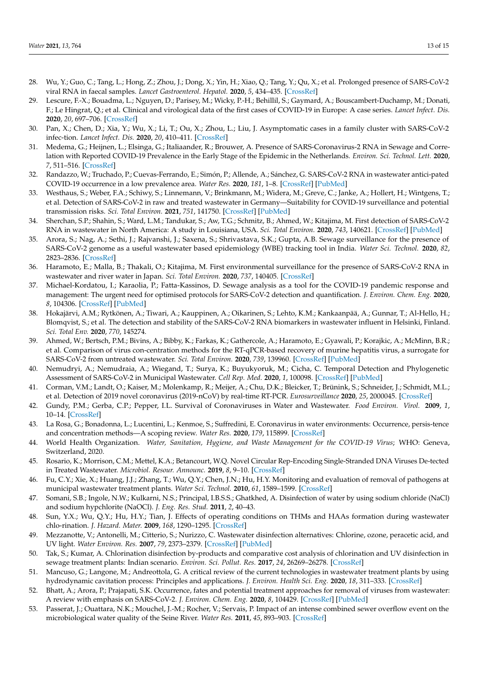- <span id="page-12-0"></span>28. Wu, Y.; Guo, C.; Tang, L.; Hong, Z.; Zhou, J.; Dong, X.; Yin, H.; Xiao, Q.; Tang, Y.; Qu, X.; et al. Prolonged presence of SARS-CoV-2 viral RNA in faecal samples. *Lancet Gastroenterol. Hepatol.* **2020**, *5*, 434–435. [\[CrossRef\]](http://doi.org/10.1016/S2468-1253(20)30083-2)
- <span id="page-12-1"></span>29. Lescure, F.-X.; Bouadma, L.; Nguyen, D.; Parisey, M.; Wicky, P.-H.; Behillil, S.; Gaymard, A.; Bouscambert-Duchamp, M.; Donati, F.; Le Hingrat, Q.; et al. Clinical and virological data of the first cases of COVID-19 in Europe: A case series. *Lancet Infect. Dis.* **2020**, *20*, 697–706. [\[CrossRef\]](http://doi.org/10.1016/S1473-3099(20)30200-0)
- <span id="page-12-2"></span>30. Pan, X.; Chen, D.; Xia, Y.; Wu, X.; Li, T.; Ou, X.; Zhou, L.; Liu, J. Asymptomatic cases in a family cluster with SARS-CoV-2 infec-tion. *Lancet Infect. Dis.* **2020**, *20*, 410–411. [\[CrossRef\]](http://doi.org/10.1016/S1473-3099(20)30114-6)
- <span id="page-12-3"></span>31. Medema, G.; Heijnen, L.; Elsinga, G.; Italiaander, R.; Brouwer, A. Presence of SARS-Coronavirus-2 RNA in Sewage and Correlation with Reported COVID-19 Prevalence in the Early Stage of the Epidemic in the Netherlands. *Environ. Sci. Technol. Lett.* **2020**, *7*, 511–516. [\[CrossRef\]](http://doi.org/10.1021/acs.estlett.0c00357)
- <span id="page-12-4"></span>32. Randazzo, W.; Truchado, P.; Cuevas-Ferrando, E.; Simón, P.; Allende, A.; Sánchez, G. SARS-CoV-2 RNA in wastewater antici-pated COVID-19 occurrence in a low prevalence area. *Water Res.* **2020**, *181*, 1–8. [\[CrossRef\]](http://doi.org/10.1016/j.watres.2020.115942) [\[PubMed\]](http://www.ncbi.nlm.nih.gov/pubmed/32425251)
- <span id="page-12-5"></span>33. Westhaus, S.; Weber, F.A.; Schiwy, S.; Linnemann, V.; Brinkmann, M.; Widera, M.; Greve, C.; Janke, A.; Hollert, H.; Wintgens, T.; et al. Detection of SARS-CoV-2 in raw and treated wastewater in Germany—Suitability for COVID-19 surveillance and potential transmission risks. *Sci. Total Environ.* **2021**, *751*, 141750. [\[CrossRef\]](http://doi.org/10.1016/j.scitotenv.2020.141750) [\[PubMed\]](http://www.ncbi.nlm.nih.gov/pubmed/32861187)
- <span id="page-12-6"></span>34. Sherchan, S.P.; Shahin, S.; Ward, L.M.; Tandukar, S.; Aw, T.G.; Schmitz, B.; Ahmed, W.; Kitajima, M. First detection of SARS-CoV-2 RNA in wastewater in North America: A study in Louisiana, USA. *Sci. Total Environ.* **2020**, *743*, 140621. [\[CrossRef\]](http://doi.org/10.1016/j.scitotenv.2020.140621) [\[PubMed\]](http://www.ncbi.nlm.nih.gov/pubmed/32758821)
- <span id="page-12-7"></span>35. Arora, S.; Nag, A.; Sethi, J.; Rajvanshi, J.; Saxena, S.; Shrivastava, S.K.; Gupta, A.B. Sewage surveillance for the presence of SARS-CoV-2 genome as a useful wastewater based epidemiology (WBE) tracking tool in India. *Water Sci. Technol.* **2020**, *82*, 2823–2836. [\[CrossRef\]](http://doi.org/10.2166/wst.2020.540)
- <span id="page-12-8"></span>36. Haramoto, E.; Malla, B.; Thakali, O.; Kitajima, M. First environmental surveillance for the presence of SARS-CoV-2 RNA in wastewater and river water in Japan. *Sci. Total Environ.* **2020**, *737*, 140405. [\[CrossRef\]](http://doi.org/10.1016/j.scitotenv.2020.140405)
- <span id="page-12-9"></span>37. Michael-Kordatou, I.; Karaolia, P.; Fatta-Kassinos, D. Sewage analysis as a tool for the COVID-19 pandemic response and management: The urgent need for optimised protocols for SARS-CoV-2 detection and quantification. *J. Environ. Chem. Eng.* **2020**, *8*, 104306. [\[CrossRef\]](http://doi.org/10.1016/j.jece.2020.104306) [\[PubMed\]](http://www.ncbi.nlm.nih.gov/pubmed/32834990)
- <span id="page-12-10"></span>38. Hokajärvi, A.M.; Rytkönen, A.; Tiwari, A.; Kauppinen, A.; Oikarinen, S.; Lehto, K.M.; Kankaanpää, A.; Gunnar, T.; Al-Hello, H.; Blomqvist, S.; et al. The detection and stability of the SARS-CoV-2 RNA biomarkers in wastewater influent in Helsinki, Finland. *Sci. Total Env.* **2020**, *770*, 145274.
- <span id="page-12-11"></span>39. Ahmed, W.; Bertsch, P.M.; Bivins, A.; Bibby, K.; Farkas, K.; Gathercole, A.; Haramoto, E.; Gyawali, P.; Korajkic, A.; McMinn, B.R.; et al. Comparison of virus con-centration methods for the RT-qPCR-based recovery of murine hepatitis virus, a surrogate for SARS-CoV-2 from untreated wastewater. *Sci. Total Environ.* **2020**, *739*, 139960. [\[CrossRef\]](http://doi.org/10.1016/j.scitotenv.2020.139960) [\[PubMed\]](http://www.ncbi.nlm.nih.gov/pubmed/32758945)
- <span id="page-12-12"></span>40. Nemudryi, A.; Nemudraia, A.; Wiegand, T.; Surya, K.; Buyukyoruk, M.; Cicha, C. Temporal Detection and Phylogenetic Assessment of SARS-CoV-2 in Municipal Wastewater. *Cell Rep. Med.* **2020**, *1*, 100098. [\[CrossRef\]](http://doi.org/10.1016/j.xcrm.2020.100098) [\[PubMed\]](http://www.ncbi.nlm.nih.gov/pubmed/32904687)
- <span id="page-12-13"></span>41. Corman, V.M.; Landt, O.; Kaiser, M.; Molenkamp, R.; Meijer, A.; Chu, D.K.; Bleicker, T.; Brünink, S.; Schneider, J.; Schmidt, M.L.; et al. Detection of 2019 novel coronavirus (2019-nCoV) by real-time RT-PCR. *Eurosurveillance* **2020**, *25*, 2000045. [\[CrossRef\]](http://doi.org/10.2807/1560-7917.ES.2020.25.3.2000045)
- <span id="page-12-14"></span>42. Gundy, P.M.; Gerba, C.P.; Pepper, I.L. Survival of Coronaviruses in Water and Wastewater. *Food Environ. Virol.* **2009**, *1*, 10–14. [\[CrossRef\]](http://doi.org/10.1007/s12560-008-9001-6)
- <span id="page-12-15"></span>43. La Rosa, G.; Bonadonna, L.; Lucentini, L.; Kenmoe, S.; Suffredini, E. Coronavirus in water environments: Occurrence, persis-tence and concentration methods—A scoping review. *Water Res.* **2020**, *179*, 115899. [\[CrossRef\]](http://doi.org/10.1016/j.watres.2020.115899)
- <span id="page-12-16"></span>44. World Health Organization. *Water, Sanitation, Hygiene, and Waste Management for the COVID-19 Virus*; WHO: Geneva, Switzerland, 2020.
- <span id="page-12-17"></span>45. Rosario, K.; Morrison, C.M.; Mettel, K.A.; Betancourt, W.Q. Novel Circular Rep-Encoding Single-Stranded DNA Viruses De-tected in Treated Wastewater. *Microbiol. Resour. Announc.* **2019**, *8*, 9–10. [\[CrossRef\]](http://doi.org/10.1128/MRA.00318-19)
- <span id="page-12-18"></span>46. Fu, C.Y.; Xie, X.; Huang, J.J.; Zhang, T.; Wu, Q.Y.; Chen, J.N.; Hu, H.Y. Monitoring and evaluation of removal of pathogens at municipal wastewater treatment plants. *Water Sci. Technol.* **2010**, *61*, 1589–1599. [\[CrossRef\]](http://doi.org/10.2166/wst.2010.757)
- <span id="page-12-19"></span>47. Somani, S.B.; Ingole, N.W.; Kulkarni, N.S.; Principal, I.B.S.S.; Ghatkhed, A. Disinfection of water by using sodium chloride (NaCl) and sodium hypchlorite (NaOCl). *J. Eng. Res. Stud.* **2011**, *2*, 40–43.
- <span id="page-12-20"></span>48. Sun, Y.X.; Wu, Q.Y.; Hu, H.Y.; Tian, J. Effects of operating conditions on THMs and HAAs formation during wastewater chlo-rination. *J. Hazard. Mater.* **2009**, *168*, 1290–1295. [\[CrossRef\]](http://doi.org/10.1016/j.jhazmat.2009.03.013)
- <span id="page-12-21"></span>49. Mezzanotte, V.; Antonelli, M.; Citterio, S.; Nurizzo, C. Wastewater disinfection alternatives: Chlorine, ozone, peracetic acid, and UV light. *Water Environ. Res.* **2007**, *79*, 2373–2379. [\[CrossRef\]](http://doi.org/10.2175/106143007X183763) [\[PubMed\]](http://www.ncbi.nlm.nih.gov/pubmed/18044353)
- <span id="page-12-22"></span>50. Tak, S.; Kumar, A. Chlorination disinfection by-products and comparative cost analysis of chlorination and UV disinfection in sewage treatment plants: Indian scenario. *Environ. Sci. Pollut. Res.* **2017**, *24*, 26269–26278. [\[CrossRef\]](http://doi.org/10.1007/s11356-017-0568-z)
- <span id="page-12-23"></span>51. Mancuso, G.; Langone, M.; Andreottola, G. A critical review of the current technologies in wastewater treatment plants by using hydrodynamic cavitation process: Principles and applications. *J. Environ. Health Sci. Eng.* **2020**, *18*, 311–333. [\[CrossRef\]](http://doi.org/10.1007/s40201-020-00444-5)
- <span id="page-12-24"></span>52. Bhatt, A.; Arora, P.; Prajapati, S.K. Occurrence, fates and potential treatment approaches for removal of viruses from wastewater: A review with emphasis on SARS-CoV-2. *J. Environ. Chem. Eng.* **2020**, *8*, 104429. [\[CrossRef\]](http://doi.org/10.1016/j.jece.2020.104429) [\[PubMed\]](http://www.ncbi.nlm.nih.gov/pubmed/32895629)
- <span id="page-12-25"></span>53. Passerat, J.; Ouattara, N.K.; Mouchel, J.-M.; Rocher, V.; Servais, P. Impact of an intense combined sewer overflow event on the microbiological water quality of the Seine River. *Water Res.* **2011**, *45*, 893–903. [\[CrossRef\]](http://doi.org/10.1016/j.watres.2010.09.024)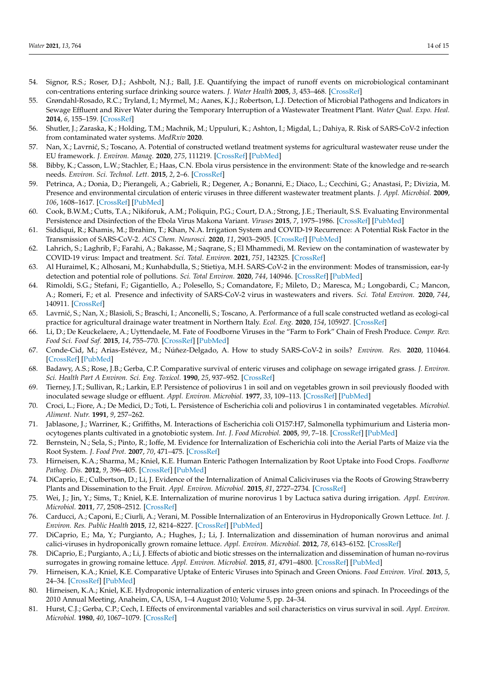- <span id="page-13-0"></span>54. Signor, R.S.; Roser, D.J.; Ashbolt, N.J.; Ball, J.E. Quantifying the impact of runoff events on microbiological contaminant con-centrations entering surface drinking source waters. *J. Water Health* **2005**, *3*, 453–468. [\[CrossRef\]](http://doi.org/10.2166/wh.2005.052)
- <span id="page-13-1"></span>55. Grøndahl-Rosado, R.C.; Tryland, I.; Myrmel, M.; Aanes, K.J.; Robertson, L.J. Detection of Microbial Pathogens and Indicators in Sewage Effluent and River Water during the Temporary Interruption of a Wastewater Treatment Plant. *Water Qual. Expo. Heal.* **2014**, *6*, 155–159. [\[CrossRef\]](http://doi.org/10.1007/s12403-014-0121-y)
- <span id="page-13-2"></span>56. Shutler, J.; Zaraska, K.; Holding, T.M.; Machnik, M.; Uppuluri, K.; Ashton, I.; Migdal, L.; Dahiya, R. Risk of SARS-CoV-2 infection from contaminated water systems. *MedRxiv* **2020**.
- <span id="page-13-3"></span>57. Nan, X.; Lavrnić, S.; Toscano, A. Potential of constructed wetland treatment systems for agricultural wastewater reuse under the EU framework. *J. Environ. Manag.* **2020**, *275*, 111219. [\[CrossRef\]](http://doi.org/10.1016/j.jenvman.2020.111219) [\[PubMed\]](http://www.ncbi.nlm.nih.gov/pubmed/32858266)
- <span id="page-13-4"></span>58. Bibby, K.; Casson, L.W.; Stachler, E.; Haas, C.N. Ebola virus persistence in the environment: State of the knowledge and re-search needs. *Environ. Sci. Technol. Lett.* **2015**, *2*, 2–6. [\[CrossRef\]](http://doi.org/10.1021/ez5003715)
- 59. Petrinca, A.; Donia, D.; Pierangeli, A.; Gabrieli, R.; Degener, A.; Bonanni, E.; Diaco, L.; Cecchini, G.; Anastasi, P.; Divizia, M. Presence and environmental circulation of enteric viruses in three different wastewater treatment plants. *J. Appl. Microbiol.* **2009**, *106*, 1608–1617. [\[CrossRef\]](http://doi.org/10.1111/j.1365-2672.2008.04128.x) [\[PubMed\]](http://www.ncbi.nlm.nih.gov/pubmed/19226391)
- <span id="page-13-5"></span>60. Cook, B.W.M.; Cutts, T.A.; Nikiforuk, A.M.; Poliquin, P.G.; Court, D.A.; Strong, J.E.; Theriault, S.S. Evaluating Environmental Persistence and Disinfection of the Ebola Virus Makona Variant. *Viruses* **2015**, *7*, 1975–1986. [\[CrossRef\]](http://doi.org/10.3390/v7041975) [\[PubMed\]](http://www.ncbi.nlm.nih.gov/pubmed/25875372)
- <span id="page-13-6"></span>61. Siddiqui, R.; Khamis, M.; Ibrahim, T.; Khan, N.A. Irrigation System and COVID-19 Recurrence: A Potential Risk Factor in the Transmission of SARS-CoV-2. *ACS Chem. Neurosci.* **2020**, *11*, 2903–2905. [\[CrossRef\]](http://doi.org/10.1021/acschemneuro.0c00570) [\[PubMed\]](http://www.ncbi.nlm.nih.gov/pubmed/32945160)
- <span id="page-13-7"></span>62. Lahrich, S.; Laghrib, F.; Farahi, A.; Bakasse, M.; Saqrane, S.; El Mhammedi, M. Review on the contamination of wastewater by COVID-19 virus: Impact and treatment. *Sci. Total. Environ.* **2021**, *751*, 142325. [\[CrossRef\]](http://doi.org/10.1016/j.scitotenv.2020.142325)
- <span id="page-13-8"></span>63. Al Huraimel, K.; Alhosani, M.; Kunhabdulla, S.; Stietiya, M.H. SARS-CoV-2 in the environment: Modes of transmission, ear-ly detection and potential role of pollutions. *Sci. Total Environ.* **2020**, *744*, 140946. [\[CrossRef\]](http://doi.org/10.1016/j.scitotenv.2020.140946) [\[PubMed\]](http://www.ncbi.nlm.nih.gov/pubmed/32687997)
- <span id="page-13-9"></span>64. Rimoldi, S.G.; Stefani, F.; Gigantiello, A.; Polesello, S.; Comandatore, F.; Mileto, D.; Maresca, M.; Longobardi, C.; Mancon, A.; Romeri, F.; et al. Presence and infectivity of SARS-CoV-2 virus in wastewaters and rivers. *Sci. Total Environ.* **2020**, *744*, 140911. [\[CrossRef\]](http://doi.org/10.1016/j.scitotenv.2020.140911)
- <span id="page-13-10"></span>65. Lavrni´c, S.; Nan, X.; Blasioli, S.; Braschi, I.; Anconelli, S.; Toscano, A. Performance of a full scale constructed wetland as ecologi-cal practice for agricultural drainage water treatment in Northern Italy. *Ecol. Eng.* **2020**, *154*, 105927. [\[CrossRef\]](http://doi.org/10.1016/j.ecoleng.2020.105927)
- <span id="page-13-11"></span>66. Li, D.; De Keuckelaere, A.; Uyttendaele, M. Fate of Foodborne Viruses in the "Farm to Fork" Chain of Fresh Produce. *Compr. Rev. Food Sci. Food Saf.* **2015**, *14*, 755–770. [\[CrossRef\]](http://doi.org/10.1111/1541-4337.12163) [\[PubMed\]](http://www.ncbi.nlm.nih.gov/pubmed/32313514)
- <span id="page-13-12"></span>67. Conde-Cid, M.; Arias-Estévez, M.; Núñez-Delgado, A. How to study SARS-CoV-2 in soils? *Environ. Res.* **2020**, 110464. [\[CrossRef\]](http://doi.org/10.1016/j.envres.2020.110464) [\[PubMed\]](http://www.ncbi.nlm.nih.gov/pubmed/33188764)
- <span id="page-13-13"></span>68. Badawy, A.S.; Rose, J.B.; Gerba, C.P. Comparative survival of enteric viruses and coliphage on sewage irrigated grass. *J. Environ. Sci. Health Part A Environ. Sci. Eng. Toxicol.* **1990**, *25*, 937–952. [\[CrossRef\]](http://doi.org/10.1080/10934529009375610)
- <span id="page-13-14"></span>69. Tierney, J.T.; Sullivan, R.; Larkin, E.P. Persistence of poliovirus 1 in soil and on vegetables grown in soil previously flooded with inoculated sewage sludge or effluent. *Appl. Environ. Microbiol.* **1977**, *33*, 109–113. [\[CrossRef\]](http://doi.org/10.1128/AEM.33.1.109-113.1977) [\[PubMed\]](http://www.ncbi.nlm.nih.gov/pubmed/189685)
- <span id="page-13-15"></span>70. Croci, L.; Fiore, A.; De Medici, D.; Toti, L. Persistence of Escherichia coli and poliovirus 1 in contaminated vegetables. *Microbiol. Aliment. Nutr.* **1991**, *9*, 257–262.
- <span id="page-13-16"></span>71. Jablasone, J.; Warriner, K.; Griffiths, M. Interactions of Escherichia coli O157:H7, Salmonella typhimurium and Listeria monocytogenes plants cultivated in a gnotobiotic system. *Int. J. Food Microbiol.* **2005**, *99*, 7–18. [\[CrossRef\]](http://doi.org/10.1016/j.ijfoodmicro.2004.06.011) [\[PubMed\]](http://www.ncbi.nlm.nih.gov/pubmed/15718025)
- 72. Bernstein, N.; Sela, S.; Pinto, R.; Ioffe, M. Evidence for Internalization of Escherichia coli into the Aerial Parts of Maize via the Root System. *J. Food Prot.* **2007**, *70*, 471–475. [\[CrossRef\]](http://doi.org/10.4315/0362-028X-70.2.471)
- <span id="page-13-17"></span>73. Hirneisen, K.A.; Sharma, M.; Kniel, K.E. Human Enteric Pathogen Internalization by Root Uptake into Food Crops. *Foodborne Pathog. Dis.* **2012**, *9*, 396–405. [\[CrossRef\]](http://doi.org/10.1089/fpd.2011.1044) [\[PubMed\]](http://www.ncbi.nlm.nih.gov/pubmed/22458717)
- <span id="page-13-18"></span>74. DiCaprio, E.; Culbertson, D.; Li, J. Evidence of the Internalization of Animal Caliciviruses via the Roots of Growing Strawberry Plants and Dissemination to the Fruit. *Appl. Environ. Microbiol.* **2015**, *81*, 2727–2734. [\[CrossRef\]](http://doi.org/10.1128/AEM.03867-14)
- <span id="page-13-19"></span>75. Wei, J.; Jin, Y.; Sims, T.; Kniel, K.E. Internalization of murine norovirus 1 by Lactuca sativa during irrigation. *Appl. Environ. Microbiol.* **2011**, *77*, 2508–2512. [\[CrossRef\]](http://doi.org/10.1128/AEM.02701-10)
- <span id="page-13-20"></span>76. Carducci, A.; Caponi, E.; Ciurli, A.; Verani, M. Possible Internalization of an Enterovirus in Hydroponically Grown Lettuce. *Int. J. Environ. Res. Public Health* **2015**, *12*, 8214–8227. [\[CrossRef\]](http://doi.org/10.3390/ijerph120708214) [\[PubMed\]](http://www.ncbi.nlm.nih.gov/pubmed/26193291)
- <span id="page-13-21"></span>77. DiCaprio, E.; Ma, Y.; Purgianto, A.; Hughes, J.; Li, J. Internalization and dissemination of human norovirus and animal calici-viruses in hydroponically grown romaine lettuce. *Appl. Environ. Microbiol.* **2012**, *78*, 6143–6152. [\[CrossRef\]](http://doi.org/10.1128/AEM.01081-12)
- <span id="page-13-24"></span>78. DiCaprio, E.; Purgianto, A.; Li, J. Effects of abiotic and biotic stresses on the internalization and dissemination of human no-rovirus surrogates in growing romaine lettuce. *Appl. Environ. Microbiol.* **2015**, *81*, 4791–4800. [\[CrossRef\]](http://doi.org/10.1128/AEM.00650-15) [\[PubMed\]](http://www.ncbi.nlm.nih.gov/pubmed/25956773)
- <span id="page-13-22"></span>79. Hirneisen, K.A.; Kniel, K.E. Comparative Uptake of Enteric Viruses into Spinach and Green Onions. *Food Environ. Virol.* **2013**, *5*, 24–34. [\[CrossRef\]](http://doi.org/10.1007/s12560-012-9093-x) [\[PubMed\]](http://www.ncbi.nlm.nih.gov/pubmed/23412715)
- <span id="page-13-23"></span>80. Hirneisen, K.A.; Kniel, K.E. Hydroponic internalization of enteric viruses into green onions and spinach. In Proceedings of the 2010 Annual Meeting, Anaheim, CA, USA, 1–4 August 2010; Volume 5, pp. 24–34.
- <span id="page-13-25"></span>81. Hurst, C.J.; Gerba, C.P.; Cech, I. Effects of environmental variables and soil characteristics on virus survival in soil. *Appl. Environ. Microbiol.* **1980**, *40*, 1067–1079. [\[CrossRef\]](http://doi.org/10.1128/AEM.40.6.1067-1079.1980)